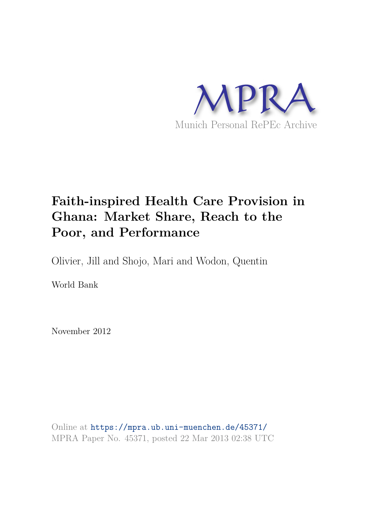

# **Faith-inspired Health Care Provision in Ghana: Market Share, Reach to the Poor, and Performance**

Olivier, Jill and Shojo, Mari and Wodon, Quentin

World Bank

November 2012

Online at https://mpra.ub.uni-muenchen.de/45371/ MPRA Paper No. 45371, posted 22 Mar 2013 02:38 UTC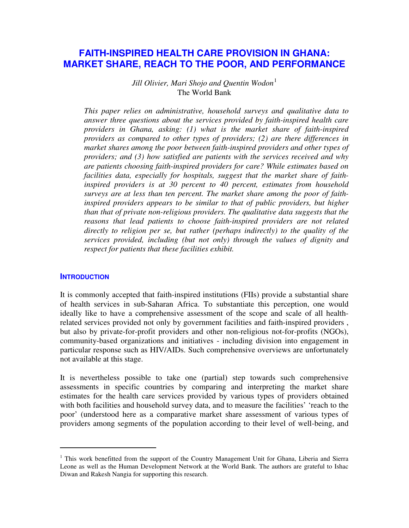# **FAITH-INSPIRED HEALTH CARE PROVISION IN GHANA: MARKET SHARE, REACH TO THE POOR, AND PERFORMANCE**

*Jill Olivier, Mari Shojo and Quentin Wodon*<sup>[1](#page-1-0)</sup> The World Bank

*This paper relies on administrative, household surveys and qualitative data to answer three questions about the services provided by faith-inspired health care providers in Ghana, asking: (1) what is the market share of faith-inspired providers as compared to other types of providers; (2) are there differences in market shares among the poor between faith-inspired providers and other types of providers; and (3) how satisfied are patients with the services received and why are patients choosing faith-inspired providers for care? While estimates based on facilities data, especially for hospitals, suggest that the market share of faithinspired providers is at 30 percent to 40 percent, estimates from household surveys are at less than ten percent. The market share among the poor of faithinspired providers appears to be similar to that of public providers, but higher than that of private non-religious providers. The qualitative data suggests that the reasons that lead patients to choose faith-inspired providers are not related directly to religion per se, but rather (perhaps indirectly) to the quality of the services provided, including (but not only) through the values of dignity and respect for patients that these facilities exhibit.* 

### **INTRODUCTION**

1

It is commonly accepted that faith-inspired institutions (FIIs) provide a substantial share of health services in sub-Saharan Africa. To substantiate this perception, one would ideally like to have a comprehensive assessment of the scope and scale of all healthrelated services provided not only by government facilities and faith-inspired providers , but also by private-for-profit providers and other non-religious not-for-profits (NGOs), community-based organizations and initiatives - including division into engagement in particular response such as HIV/AIDs. Such comprehensive overviews are unfortunately not available at this stage.

It is nevertheless possible to take one (partial) step towards such comprehensive assessments in specific countries by comparing and interpreting the market share estimates for the health care services provided by various types of providers obtained with both facilities and household survey data, and to measure the facilities' 'reach to the poor' (understood here as a comparative market share assessment of various types of providers among segments of the population according to their level of well-being, and

<span id="page-1-0"></span><sup>&</sup>lt;sup>1</sup> This work benefitted from the support of the Country Management Unit for Ghana, Liberia and Sierra Leone as well as the Human Development Network at the World Bank. The authors are grateful to Ishac Diwan and Rakesh Nangia for supporting this research.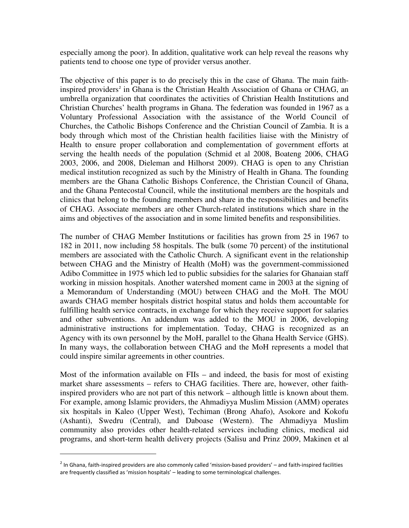especially among the poor). In addition, qualitative work can help reveal the reasons why patients tend to choose one type of provider versus another.

The objective of this paper is to do precisely this in the case of Ghana. The main faith-inspired providers<sup>[2](#page-2-0)</sup> in Ghana is the Christian Health Association of Ghana or CHAG, an umbrella organization that coordinates the activities of Christian Health Institutions and Christian Churches' health programs in Ghana. The federation was founded in 1967 as a Voluntary Professional Association with the assistance of the World Council of Churches, the Catholic Bishops Conference and the Christian Council of Zambia. It is a body through which most of the Christian health facilities liaise with the Ministry of Health to ensure proper collaboration and complementation of government efforts at serving the health needs of the population (Schmid et al 2008, Boateng 2006, CHAG 2003, 2006, and 2008, Dieleman and Hilhorst 2009). CHAG is open to any Christian medical institution recognized as such by the Ministry of Health in Ghana. The founding members are the Ghana Catholic Bishops Conference, the Christian Council of Ghana, and the Ghana Pentecostal Council, while the institutional members are the hospitals and clinics that belong to the founding members and share in the responsibilities and benefits of CHAG. Associate members are other Church-related institutions which share in the aims and objectives of the association and in some limited benefits and responsibilities.

The number of CHAG Member Institutions or facilities has grown from 25 in 1967 to 182 in 2011, now including 58 hospitals. The bulk (some 70 percent) of the institutional members are associated with the Catholic Church. A significant event in the relationship between CHAG and the Ministry of Health (MoH) was the government-commissioned Adibo Committee in 1975 which led to public subsidies for the salaries for Ghanaian staff working in mission hospitals. Another watershed moment came in 2003 at the signing of a Memorandum of Understanding (MOU) between CHAG and the MoH. The MOU awards CHAG member hospitals district hospital status and holds them accountable for fulfilling health service contracts, in exchange for which they receive support for salaries and other subventions. An addendum was added to the MOU in 2006, developing administrative instructions for implementation. Today, CHAG is recognized as an Agency with its own personnel by the MoH, parallel to the Ghana Health Service (GHS). In many ways, the collaboration between CHAG and the MoH represents a model that could inspire similar agreements in other countries.

Most of the information available on FIIs – and indeed, the basis for most of existing market share assessments – refers to CHAG facilities. There are, however, other faithinspired providers who are not part of this network – although little is known about them. For example, among Islamic providers, the Ahmadiyya Muslim Mission (AMM) operates six hospitals in Kaleo (Upper West), Techiman (Brong Ahafo), Asokore and Kokofu (Ashanti), Swedru (Central), and Daboase (Western). The Ahmadiyya Muslim community also provides other health-related services including clinics, medical aid programs, and short-term health delivery projects (Salisu and Prinz 2009, Makinen et al

j

<span id="page-2-0"></span> $^2$  In Ghana, faith-inspired providers are also commonly called 'mission-based providers' – and faith-inspired facilities are frequently classified as 'mission hospitals' – leading to some terminological challenges.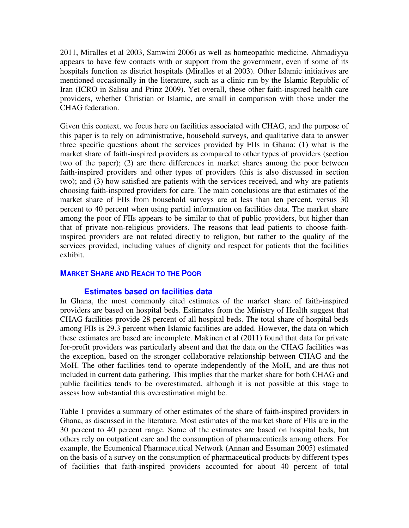2011, Miralles et al 2003, Samwini 2006) as well as homeopathic medicine. Ahmadiyya appears to have few contacts with or support from the government, even if some of its hospitals function as district hospitals (Miralles et al 2003). Other Islamic initiatives are mentioned occasionally in the literature, such as a clinic run by the Islamic Republic of Iran (ICRO in Salisu and Prinz 2009). Yet overall, these other faith-inspired health care providers, whether Christian or Islamic, are small in comparison with those under the CHAG federation.

Given this context, we focus here on facilities associated with CHAG, and the purpose of this paper is to rely on administrative, household surveys, and qualitative data to answer three specific questions about the services provided by FIIs in Ghana: (1) what is the market share of faith-inspired providers as compared to other types of providers (section two of the paper); (2) are there differences in market shares among the poor between faith-inspired providers and other types of providers (this is also discussed in section two); and (3) how satisfied are patients with the services received, and why are patients choosing faith-inspired providers for care. The main conclusions are that estimates of the market share of FIIs from household surveys are at less than ten percent, versus 30 percent to 40 percent when using partial information on facilities data. The market share among the poor of FIIs appears to be similar to that of public providers, but higher than that of private non-religious providers. The reasons that lead patients to choose faithinspired providers are not related directly to religion, but rather to the quality of the services provided, including values of dignity and respect for patients that the facilities exhibit.

# **MARKET SHARE AND REACH TO THE POOR**

### **Estimates based on facilities data**

In Ghana, the most commonly cited estimates of the market share of faith-inspired providers are based on hospital beds. Estimates from the Ministry of Health suggest that CHAG facilities provide 28 percent of all hospital beds. The total share of hospital beds among FIIs is 29.3 percent when Islamic facilities are added. However, the data on which these estimates are based are incomplete. Makinen et al (2011) found that data for private for-profit providers was particularly absent and that the data on the CHAG facilities was the exception, based on the stronger collaborative relationship between CHAG and the MoH. The other facilities tend to operate independently of the MoH, and are thus not included in current data gathering. This implies that the market share for both CHAG and public facilities tends to be overestimated, although it is not possible at this stage to assess how substantial this overestimation might be.

Table 1 provides a summary of other estimates of the share of faith-inspired providers in Ghana, as discussed in the literature. Most estimates of the market share of FIIs are in the 30 percent to 40 percent range. Some of the estimates are based on hospital beds, but others rely on outpatient care and the consumption of pharmaceuticals among others. For example, the Ecumenical Pharmaceutical Network (Annan and Essuman 2005) estimated on the basis of a survey on the consumption of pharmaceutical products by different types of facilities that faith-inspired providers accounted for about 40 percent of total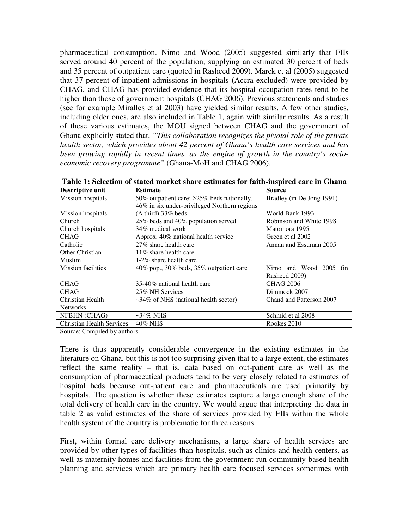pharmaceutical consumption. Nimo and Wood (2005) suggested similarly that FIIs served around 40 percent of the population, supplying an estimated 30 percent of beds and 35 percent of outpatient care (quoted in Rasheed 2009). Marek et al (2005) suggested that 37 percent of inpatient admissions in hospitals (Accra excluded) were provided by CHAG, and CHAG has provided evidence that its hospital occupation rates tend to be higher than those of government hospitals (CHAG 2006). Previous statements and studies (see for example Miralles et al 2003) have yielded similar results. A few other studies, including older ones, are also included in Table 1, again with similar results. As a result of these various estimates, the MOU signed between CHAG and the government of Ghana explicitly stated that, *"This collaboration recognizes the pivotal role of the private health sector, which provides about 42 percent of Ghana's health care services and has been growing rapidly in recent times, as the engine of growth in the country's socioeconomic recovery programme"* (Ghana-MoH and CHAG 2006).

| Descriptive unit                 | <b>Estimate</b>                                  | <b>Source</b>             |  |  |  |  |
|----------------------------------|--------------------------------------------------|---------------------------|--|--|--|--|
| Mission hospitals                | 50% outpatient care; >25% beds nationally,       | Bradley (in De Jong 1991) |  |  |  |  |
|                                  | 46% in six under-privileged Northern regions     |                           |  |  |  |  |
| Mission hospitals                | $(A third)$ 33% beds<br>World Bank 1993          |                           |  |  |  |  |
| Church                           | 25% beds and 40% population served               | Robinson and White 1998   |  |  |  |  |
| Church hospitals                 | 34% medical work                                 | Matomora 1995             |  |  |  |  |
| <b>CHAG</b>                      | Approx. 40% national health service              | Green et al 2002          |  |  |  |  |
| Catholic                         | 27% share health care                            | Annan and Essuman 2005    |  |  |  |  |
| Other Christian                  | $11\%$ share health care                         |                           |  |  |  |  |
| Muslim                           | 1-2% share health care                           |                           |  |  |  |  |
| <b>Mission facilities</b>        | $40\%$ pop., $30\%$ beds, $35\%$ outpatient care | Nimo and Wood 2005<br>(in |  |  |  |  |
|                                  |                                                  | Rasheed 2009)             |  |  |  |  |
| <b>CHAG</b>                      | 35-40% national health care                      | <b>CHAG 2006</b>          |  |  |  |  |
| <b>CHAG</b>                      | 25% NH Services                                  | Dimmock 2007              |  |  |  |  |
| Christian Health                 | $\sim$ 34% of NHS (national health sector)       | Chand and Patterson 2007  |  |  |  |  |
| <b>Networks</b>                  |                                                  |                           |  |  |  |  |
| NFBHN (CHAG)                     | $\sim$ 34% NHS                                   | Schmid et al 2008         |  |  |  |  |
| <b>Christian Health Services</b> | 40% NHS                                          | Rookes 2010               |  |  |  |  |

**Table 1: Selection of stated market share estimates for faith-inspired care in Ghana**

Source: Compiled by authors

There is thus apparently considerable convergence in the existing estimates in the literature on Ghana, but this is not too surprising given that to a large extent, the estimates reflect the same reality – that is, data based on out-patient care as well as the consumption of pharmaceutical products tend to be very closely related to estimates of hospital beds because out-patient care and pharmaceuticals are used primarily by hospitals. The question is whether these estimates capture a large enough share of the total delivery of health care in the country. We would argue that interpreting the data in table 2 as valid estimates of the share of services provided by FIIs within the whole health system of the country is problematic for three reasons.

First, within formal care delivery mechanisms, a large share of health services are provided by other types of facilities than hospitals, such as clinics and health centers, as well as maternity homes and facilities from the government-run community-based health planning and services which are primary health care focused services sometimes with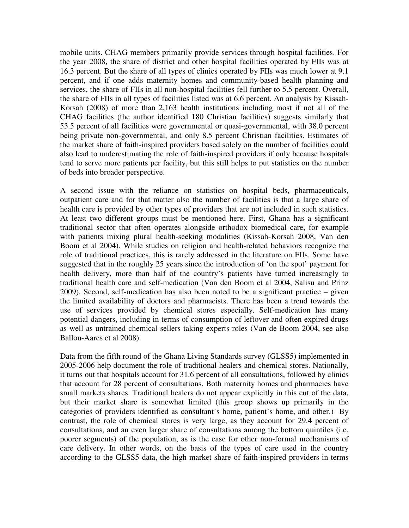mobile units. CHAG members primarily provide services through hospital facilities. For the year 2008, the share of district and other hospital facilities operated by FIIs was at 16.3 percent. But the share of all types of clinics operated by FIIs was much lower at 9.1 percent, and if one adds maternity homes and community-based health planning and services, the share of FIIs in all non-hospital facilities fell further to 5.5 percent. Overall, the share of FIIs in all types of facilities listed was at 6.6 percent. An analysis by Kissah-Korsah (2008) of more than 2,163 health institutions including most if not all of the CHAG facilities (the author identified 180 Christian facilities) suggests similarly that 53.5 percent of all facilities were governmental or quasi-governmental, with 38.0 percent being private non-governmental, and only 8.5 percent Christian facilities. Estimates of the market share of faith-inspired providers based solely on the number of facilities could also lead to underestimating the role of faith-inspired providers if only because hospitals tend to serve more patients per facility, but this still helps to put statistics on the number of beds into broader perspective.

A second issue with the reliance on statistics on hospital beds, pharmaceuticals, outpatient care and for that matter also the number of facilities is that a large share of health care is provided by other types of providers that are not included in such statistics. At least two different groups must be mentioned here. First, Ghana has a significant traditional sector that often operates alongside orthodox biomedical care, for example with patients mixing plural health-seeking modalities (Kissah-Korsah 2008, Van den Boom et al 2004). While studies on religion and health-related behaviors recognize the role of traditional practices, this is rarely addressed in the literature on FIIs. Some have suggested that in the roughly 25 years since the introduction of 'on the spot' payment for health delivery, more than half of the country's patients have turned increasingly to traditional health care and self-medication (Van den Boom et al 2004, Salisu and Prinz 2009). Second, self-medication has also been noted to be a significant practice – given the limited availability of doctors and pharmacists. There has been a trend towards the use of services provided by chemical stores especially. Self-medication has many potential dangers, including in terms of consumption of leftover and often expired drugs as well as untrained chemical sellers taking experts roles (Van de Boom 2004, see also Ballou-Aares et al 2008).

Data from the fifth round of the Ghana Living Standards survey (GLSS5) implemented in 2005-2006 help document the role of traditional healers and chemical stores. Nationally, it turns out that hospitals account for 31.6 percent of all consultations, followed by clinics that account for 28 percent of consultations. Both maternity homes and pharmacies have small markets shares. Traditional healers do not appear explicitly in this cut of the data, but their market share is somewhat limited (this group shows up primarily in the categories of providers identified as consultant's home, patient's home, and other.) By contrast, the role of chemical stores is very large, as they account for 29.4 percent of consultations, and an even larger share of consultations among the bottom quintiles (i.e. poorer segments) of the population, as is the case for other non-formal mechanisms of care delivery. In other words, on the basis of the types of care used in the country according to the GLSS5 data, the high market share of faith-inspired providers in terms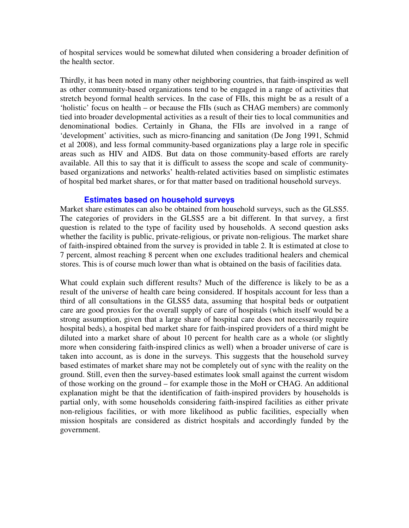of hospital services would be somewhat diluted when considering a broader definition of the health sector.

Thirdly, it has been noted in many other neighboring countries, that faith-inspired as well as other community-based organizations tend to be engaged in a range of activities that stretch beyond formal health services. In the case of FIIs, this might be as a result of a 'holistic' focus on health – or because the FIIs (such as CHAG members) are commonly tied into broader developmental activities as a result of their ties to local communities and denominational bodies. Certainly in Ghana, the FIIs are involved in a range of 'development' activities, such as micro-financing and sanitation (De Jong 1991, Schmid et al 2008), and less formal community-based organizations play a large role in specific areas such as HIV and AIDS. But data on those community-based efforts are rarely available. All this to say that it is difficult to assess the scope and scale of communitybased organizations and networks' health-related activities based on simplistic estimates of hospital bed market shares, or for that matter based on traditional household surveys.

# **Estimates based on household surveys**

Market share estimates can also be obtained from household surveys, such as the GLSS5. The categories of providers in the GLSS5 are a bit different. In that survey, a first question is related to the type of facility used by households. A second question asks whether the facility is public, private-religious, or private non-religious. The market share of faith-inspired obtained from the survey is provided in table 2. It is estimated at close to 7 percent, almost reaching 8 percent when one excludes traditional healers and chemical stores. This is of course much lower than what is obtained on the basis of facilities data.

What could explain such different results? Much of the difference is likely to be as a result of the universe of health care being considered. If hospitals account for less than a third of all consultations in the GLSS5 data, assuming that hospital beds or outpatient care are good proxies for the overall supply of care of hospitals (which itself would be a strong assumption, given that a large share of hospital care does not necessarily require hospital beds), a hospital bed market share for faith-inspired providers of a third might be diluted into a market share of about 10 percent for health care as a whole (or slightly more when considering faith-inspired clinics as well) when a broader universe of care is taken into account, as is done in the surveys. This suggests that the household survey based estimates of market share may not be completely out of sync with the reality on the ground. Still, even then the survey-based estimates look small against the current wisdom of those working on the ground – for example those in the MoH or CHAG. An additional explanation might be that the identification of faith-inspired providers by households is partial only, with some households considering faith-inspired facilities as either private non-religious facilities, or with more likelihood as public facilities, especially when mission hospitals are considered as district hospitals and accordingly funded by the government.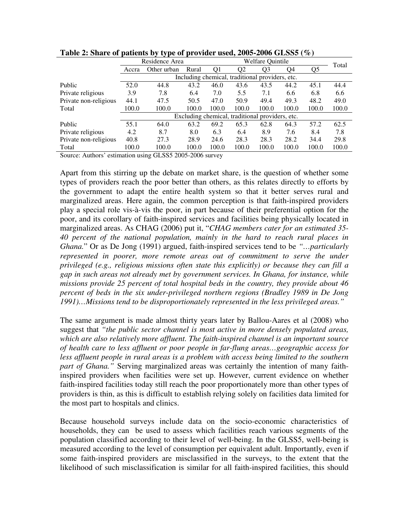|                       |                                                 | Residence Area                                  | <b>Welfare Quintile</b> |       |       |                |       | Total |       |
|-----------------------|-------------------------------------------------|-------------------------------------------------|-------------------------|-------|-------|----------------|-------|-------|-------|
|                       | Accra                                           | Other urban                                     | Rural                   | Q1    | O2    | O <sub>3</sub> | O4    | Q5    |       |
|                       |                                                 | Including chemical, traditional providers, etc. |                         |       |       |                |       |       |       |
| Public                | 52.0                                            | 44.8                                            | 43.2                    | 46.0  | 43.6  | 43.5           | 44.2  | 45.1  | 44.4  |
| Private religious     | 3.9                                             | 7.8                                             | 6.4                     | 7.0   | 5.5   | 7.1            | 6.6   | 6.8   | 6.6   |
| Private non-religious | 44.1                                            | 47.5                                            | 50.5                    | 47.0  | 50.9  | 49.4           | 49.3  | 48.2  | 49.0  |
| Total                 | 100.0                                           | 100.0                                           | 100.0                   | 100.0 | 100.0 | 100.0          | 100.0 | 100.0 | 100.0 |
|                       | Excluding chemical, traditional providers, etc. |                                                 |                         |       |       |                |       |       |       |
| Public                | 55.1                                            | 64.0                                            | 63.2                    | 69.2  | 65.3  | 62.8           | 64.3  | 57.2  | 62.5  |
| Private religious     | 4.2                                             | 8.7                                             | 8.0                     | 6.3   | 6.4   | 8.9            | 7.6   | 8.4   | 7.8   |
| Private non-religious | 40.8                                            | 27.3                                            | 28.9                    | 24.6  | 28.3  | 28.3           | 28.2  | 34.4  | 29.8  |
| Total                 | 100.0                                           | 100.0                                           | 100.0                   | 100.0 | 100.0 | 100.0          | 100.0 | 100.0 | 100.0 |

**Table 2: Share of patients by type of provider used, 2005-2006 GLSS5 (%)** 

Source: Authors' estimation using GLSS5 2005-2006 survey

Apart from this stirring up the debate on market share, is the question of whether some types of providers reach the poor better than others, as this relates directly to efforts by the government to adapt the entire health system so that it better serves rural and marginalized areas. Here again, the common perception is that faith-inspired providers play a special role vis-à-vis the poor, in part because of their preferential option for the poor, and its corollary of faith-inspired services and facilities being physically located in marginalized areas. As CHAG (2006) put it, "*CHAG members cater for an estimated 35- 40 percent of the national population, mainly in the hard to reach rural places in Ghana.*" Or as De Jong (1991) argued, faith-inspired services tend to be *"…particularly represented in poorer, more remote areas out of commitment to serve the under privileged (e.g., religious missions often state this explicitly) or because they can fill a gap in such areas not already met by government services. In Ghana, for instance, while missions provide 25 percent of total hospital beds in the country, they provide about 46 percent of beds in the six under-privileged northern regions (Bradley 1989 in De Jong 1991)…Missions tend to be disproportionately represented in the less privileged areas."*

The same argument is made almost thirty years later by Ballou-Aares et al (2008) who suggest that *"the public sector channel is most active in more densely populated areas, which are also relatively more affluent. The faith-inspired channel is an important source of health care to less affluent or poor people in far-flung areas…geographic access for less affluent people in rural areas is a problem with access being limited to the southern part of Ghana."* Serving marginalized areas was certainly the intention of many faithinspired providers when facilities were set up. However, current evidence on whether faith-inspired facilities today still reach the poor proportionately more than other types of providers is thin, as this is difficult to establish relying solely on facilities data limited for the most part to hospitals and clinics.

Because household surveys include data on the socio-economic characteristics of households, they can be used to assess which facilities reach various segments of the population classified according to their level of well-being. In the GLSS5, well-being is measured according to the level of consumption per equivalent adult. Importantly, even if some faith-inspired providers are misclassified in the surveys, to the extent that the likelihood of such misclassification is similar for all faith-inspired facilities, this should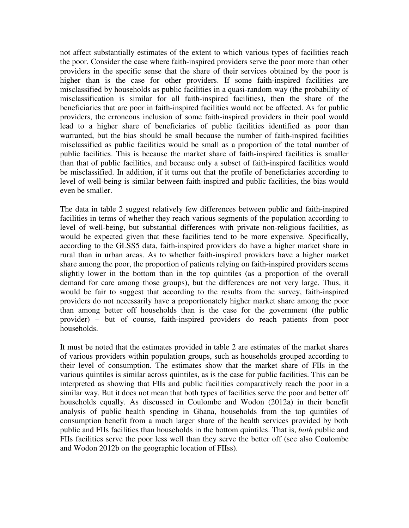not affect substantially estimates of the extent to which various types of facilities reach the poor. Consider the case where faith-inspired providers serve the poor more than other providers in the specific sense that the share of their services obtained by the poor is higher than is the case for other providers. If some faith-inspired facilities are misclassified by households as public facilities in a quasi-random way (the probability of misclassification is similar for all faith-inspired facilities), then the share of the beneficiaries that are poor in faith-inspired facilities would not be affected. As for public providers, the erroneous inclusion of some faith-inspired providers in their pool would lead to a higher share of beneficiaries of public facilities identified as poor than warranted, but the bias should be small because the number of faith-inspired facilities misclassified as public facilities would be small as a proportion of the total number of public facilities. This is because the market share of faith-inspired facilities is smaller than that of public facilities, and because only a subset of faith-inspired facilities would be misclassified. In addition, if it turns out that the profile of beneficiaries according to level of well-being is similar between faith-inspired and public facilities, the bias would even be smaller.

The data in table 2 suggest relatively few differences between public and faith-inspired facilities in terms of whether they reach various segments of the population according to level of well-being, but substantial differences with private non-religious facilities, as would be expected given that these facilities tend to be more expensive. Specifically, according to the GLSS5 data, faith-inspired providers do have a higher market share in rural than in urban areas. As to whether faith-inspired providers have a higher market share among the poor, the proportion of patients relying on faith-inspired providers seems slightly lower in the bottom than in the top quintiles (as a proportion of the overall demand for care among those groups), but the differences are not very large. Thus, it would be fair to suggest that according to the results from the survey, faith-inspired providers do not necessarily have a proportionately higher market share among the poor than among better off households than is the case for the government (the public provider) – but of course, faith-inspired providers do reach patients from poor households.

It must be noted that the estimates provided in table 2 are estimates of the market shares of various providers within population groups, such as households grouped according to their level of consumption. The estimates show that the market share of FIIs in the various quintiles is similar across quintiles, as is the case for public facilities. This can be interpreted as showing that FIIs and public facilities comparatively reach the poor in a similar way. But it does not mean that both types of facilities serve the poor and better off households equally. As discussed in Coulombe and Wodon (2012a) in their benefit analysis of public health spending in Ghana, households from the top quintiles of consumption benefit from a much larger share of the health services provided by both public and FIIs facilities than households in the bottom quintiles. That is, *both* public and FIIs facilities serve the poor less well than they serve the better off (see also Coulombe and Wodon 2012b on the geographic location of FIIss).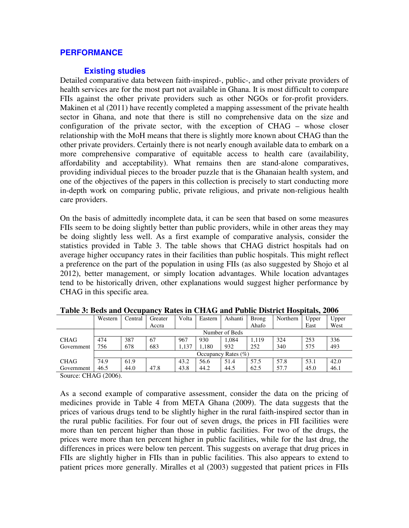# **PERFORMANCE**

# **Existing studies**

Detailed comparative data between faith-inspired-, public-, and other private providers of health services are for the most part not available in Ghana. It is most difficult to compare FIIs against the other private providers such as other NGOs or for-profit providers. Makinen et al (2011) have recently completed a mapping assessment of the private health sector in Ghana, and note that there is still no comprehensive data on the size and configuration of the private sector, with the exception of CHAG – whose closer relationship with the MoH means that there is slightly more known about CHAG than the other private providers. Certainly there is not nearly enough available data to embark on a more comprehensive comparative of equitable access to health care (availability, affordability and acceptability). What remains then are stand-alone comparatives, providing individual pieces to the broader puzzle that is the Ghanaian health system, and one of the objectives of the papers in this collection is precisely to start conducting more in-depth work on comparing public, private religious, and private non-religious health care providers.

On the basis of admittedly incomplete data, it can be seen that based on some measures FIIs seem to be doing slightly better than public providers, while in other areas they may be doing slightly less well. As a first example of comparative analysis, consider the statistics provided in Table 3. The table shows that CHAG district hospitals had on average higher occupancy rates in their facilities than public hospitals. This might reflect a preference on the part of the population in using FIIs (as also suggested by Shojo et al 2012), better management, or simply location advantages. While location advantages tend to be historically driven, other explanations would suggest higher performance by CHAG in this specific area.

|             | Western                 | Central | Greater | Volta | Eastern | Ashanti        | <b>Brong</b> | Northern | Upper | Upper |
|-------------|-------------------------|---------|---------|-------|---------|----------------|--------------|----------|-------|-------|
|             |                         |         | Accra   |       |         |                | Ahafo        |          | East  | West  |
|             |                         |         |         |       |         | Number of Beds |              |          |       |       |
| <b>CHAG</b> | 474                     | 387     | 67      | 967   | 930     | 1.084          | 1.119        | 324      | 253   | 336   |
| Government  | 756                     | 678     | 683     | 1.137 | .180    | 932            | 252          | 340      | 575   | 493   |
|             | Occupancy Rates $(\% )$ |         |         |       |         |                |              |          |       |       |
| <b>CHAG</b> | 74.9                    | 61.9    |         | 43.2  | 56.6    | 51.4           | 57.5         | 57.8     | 53.1  | 42.0  |
| Government  | 46.5                    | 44.0    | 47.8    | 43.8  | 44.2    | 44.5           | 62.5         | 57.7     | 45.0  | 46.1  |

**Table 3: Beds and Occupancy Rates in CHAG and Public District Hospitals, 2006** 

Source: CHAG (2006).

As a second example of comparative assessment, consider the data on the pricing of medicines provide in Table 4 from META Ghana (2009). The data suggests that the prices of various drugs tend to be slightly higher in the rural faith-inspired sector than in the rural public facilities. For four out of seven drugs, the prices in FII facilities were more than ten percent higher than those in public facilities. For two of the drugs, the prices were more than ten percent higher in public facilities, while for the last drug, the differences in prices were below ten percent. This suggests on average that drug prices in FIIs are slightly higher in FIIs than in public facilities. This also appears to extend to patient prices more generally. Miralles et al (2003) suggested that patient prices in FIIs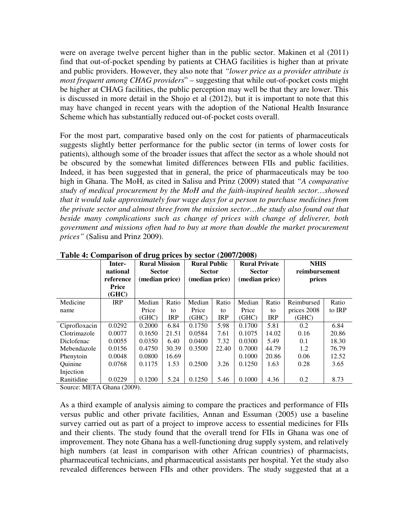were on average twelve percent higher than in the public sector. Makinen et al (2011) find that out-of-pocket spending by patients at CHAG facilities is higher than at private and public providers. However, they also note that *"lower price as a provider attribute is most frequent among CHAG providers*" – suggesting that while out-of-pocket costs might be higher at CHAG facilities, the public perception may well be that they are lower. This is discussed in more detail in the Shojo et al (2012), but it is important to note that this may have changed in recent years with the adoption of the National Health Insurance Scheme which has substantially reduced out-of-pocket costs overall.

For the most part, comparative based only on the cost for patients of pharmaceuticals suggests slightly better performance for the public sector (in terms of lower costs for patients), although some of the broader issues that affect the sector as a whole should not be obscured by the somewhat limited differences between FIIs and public facilities. Indeed, it has been suggested that in general, the price of pharmaceuticals may be too high in Ghana. The MoH, as cited in Salisu and Prinz (2009) stated that *"A comparative study of medical procurement by the MoH and the faith-inspired health sector…showed that it would take approximately four wage days for a person to purchase medicines from the private sector and almost three from the mission sector…the study also found out that beside many complications such as change of prices with change of deliverer, both government and missions often had to buy at more than double the market procurement prices"* (Salisu and Prinz 2009).

|                | Inter-<br>national<br>reference<br>Price<br>(GHC) | . .<br><b>Rural Mission</b><br><b>Sector</b><br>(median price) |            | <b>Rural Public</b><br><b>Sector</b><br>(median price) |            | <b>Rural Private</b><br><b>Sector</b><br>(median price) |            | <b>NHIS</b><br>reimbursement<br>prices |        |
|----------------|---------------------------------------------------|----------------------------------------------------------------|------------|--------------------------------------------------------|------------|---------------------------------------------------------|------------|----------------------------------------|--------|
| Medicine       | <b>IRP</b>                                        | Median                                                         | Ratio      | Median                                                 | Ratio      | Median                                                  | Ratio      | Reimbursed                             | Ratio  |
| name           |                                                   | Price                                                          | to         | Price                                                  | to         | Price                                                   | to         | prices 2008                            | to IRP |
|                |                                                   | (GHC)                                                          | <b>IRP</b> | (GHC)                                                  | <b>IRP</b> | (GHC)                                                   | <b>IRP</b> | (GHC)                                  |        |
| Ciprofloxacin  | 0.0292                                            | 0.2000                                                         | 6.84       | 0.1750                                                 | 5.98       | 0.1700                                                  | 5.81       | 0.2                                    | 6.84   |
| Clotrimazole   | 0.0077                                            | 0.1650                                                         | 21.51      | 0.0584                                                 | 7.61       | 0.1075                                                  | 14.02      | 0.16                                   | 20.86  |
| Diclofenac     | 0.0055                                            | 0.0350                                                         | 6.40       | 0.0400                                                 | 7.32       | 0.0300                                                  | 5.49       | 0.1                                    | 18.30  |
| Mebendazole    | 0.0156                                            | 0.4750                                                         | 30.39      | 0.3500                                                 | 22.40      | 0.7000                                                  | 44.79      | 1.2                                    | 76.79  |
| Phenytoin      | 0.0048                                            | 0.0800                                                         | 16.69      |                                                        |            | 0.1000                                                  | 20.86      | 0.06                                   | 12.52  |
| <b>Ouinine</b> | 0.0768                                            | 0.1175                                                         | 1.53       | 0.2500                                                 | 3.26       | 0.1250                                                  | 1.63       | 0.28                                   | 3.65   |
| Injection      |                                                   |                                                                |            |                                                        |            |                                                         |            |                                        |        |
| Ranitidine     | 0.0229                                            | 0.1200                                                         | 5.24       | 0.1250                                                 | 5.46       | 0.1000                                                  | 4.36       | 0.2                                    | 8.73   |

**Table 4: Comparison of drug prices by sector (2007/2008)** 

Source: META Ghana (2009).

As a third example of analysis aiming to compare the practices and performance of FIIs versus public and other private facilities, Annan and Essuman (2005) use a baseline survey carried out as part of a project to improve access to essential medicines for FIIs and their clients. The study found that the overall trend for FIIs in Ghana was one of improvement. They note Ghana has a well-functioning drug supply system, and relatively high numbers (at least in comparison with other African countries) of pharmacists, pharmaceutical technicians, and pharmaceutical assistants per hospital. Yet the study also revealed differences between FIIs and other providers. The study suggested that at a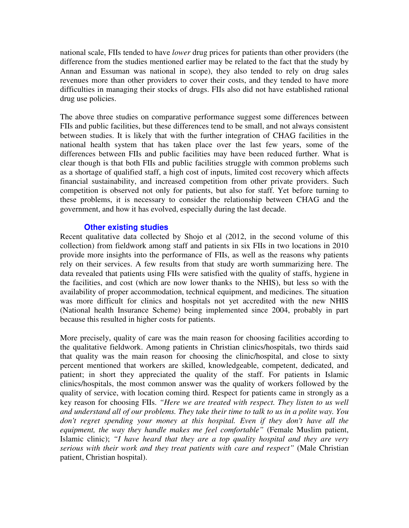national scale, FIIs tended to have *lower* drug prices for patients than other providers (the difference from the studies mentioned earlier may be related to the fact that the study by Annan and Essuman was national in scope), they also tended to rely on drug sales revenues more than other providers to cover their costs, and they tended to have more difficulties in managing their stocks of drugs. FIIs also did not have established rational drug use policies.

The above three studies on comparative performance suggest some differences between FIIs and public facilities, but these differences tend to be small, and not always consistent between studies. It is likely that with the further integration of CHAG facilities in the national health system that has taken place over the last few years, some of the differences between FIIs and public facilities may have been reduced further. What is clear though is that both FIIs and public facilities struggle with common problems such as a shortage of qualified staff, a high cost of inputs, limited cost recovery which affects financial sustainability, and increased competition from other private providers. Such competition is observed not only for patients, but also for staff. Yet before turning to these problems, it is necessary to consider the relationship between CHAG and the government, and how it has evolved, especially during the last decade.

# **Other existing studies**

Recent qualitative data collected by Shojo et al (2012, in the second volume of this collection) from fieldwork among staff and patients in six FIIs in two locations in 2010 provide more insights into the performance of FIIs, as well as the reasons why patients rely on their services. A few results from that study are worth summarizing here. The data revealed that patients using FIIs were satisfied with the quality of staffs, hygiene in the facilities, and cost (which are now lower thanks to the NHIS), but less so with the availability of proper accommodation, technical equipment, and medicines. The situation was more difficult for clinics and hospitals not yet accredited with the new NHIS (National health Insurance Scheme) being implemented since 2004, probably in part because this resulted in higher costs for patients.

More precisely, quality of care was the main reason for choosing facilities according to the qualitative fieldwork. Among patients in Christian clinics/hospitals, two thirds said that quality was the main reason for choosing the clinic/hospital, and close to sixty percent mentioned that workers are skilled, knowledgeable, competent, dedicated, and patient; in short they appreciated the quality of the staff. For patients in Islamic clinics/hospitals, the most common answer was the quality of workers followed by the quality of service, with location coming third. Respect for patients came in strongly as a key reason for choosing FIIs. *"Here we are treated with respect. They listen to us well and understand all of our problems. They take their time to talk to us in a polite way. You don't regret spending your money at this hospital. Even if they don't have all the equipment, the way they handle makes me feel comfortable"* (Female Muslim patient, Islamic clinic); *"I have heard that they are a top quality hospital and they are very serious with their work and they treat patients with care and respect"* (Male Christian patient, Christian hospital).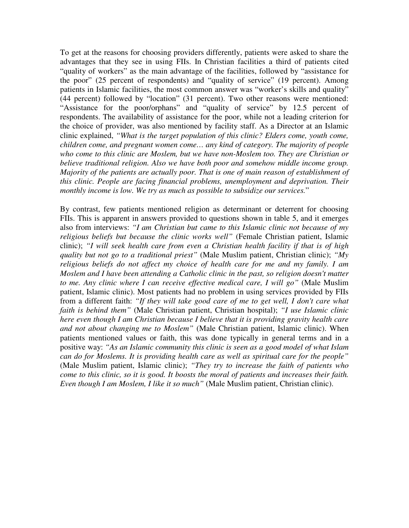To get at the reasons for choosing providers differently, patients were asked to share the advantages that they see in using FIIs. In Christian facilities a third of patients cited "quality of workers" as the main advantage of the facilities, followed by "assistance for the poor" (25 percent of respondents) and "quality of service" (19 percent). Among patients in Islamic facilities, the most common answer was "worker's skills and quality" (44 percent) followed by "location" (31 percent). Two other reasons were mentioned: "Assistance for the poor/orphans" and "quality of service" by 12.5 percent of respondents. The availability of assistance for the poor, while not a leading criterion for the choice of provider, was also mentioned by facility staff. As a Director at an Islamic clinic explained, *"What is the target population of this clinic? Elders come, youth come, children come, and pregnant women come… any kind of category. The majority of people who come to this clinic are Moslem, but we have non-Moslem too. They are Christian or believe traditional religion. Also we have both poor and somehow middle income group. Majority of the patients are actually poor. That is one of main reason of establishment of this clinic. People are facing financial problems, unemployment and deprivation. Their monthly income is low. We try as much as possible to subsidize our services.*"

By contrast, few patients mentioned religion as determinant or deterrent for choosing FIIs. This is apparent in answers provided to questions shown in table 5, and it emerges also from interviews: *"I am Christian but came to this Islamic clinic not because of my religious beliefs but because the clinic works well"* (Female Christian patient, Islamic clinic); *"I will seek health care from even a Christian health facility if that is of high quality but not go to a traditional priest"* (Male Muslim patient, Christian clinic); *"My religious beliefs do not affect my choice of health care for me and my family. I am Moslem and I have been attending a Catholic clinic in the past, so religion doesn't matter to me. Any clinic where I can receive effective medical care, I will go"* (Male Muslim patient, Islamic clinic). Most patients had no problem in using services provided by FIIs from a different faith: *"If they will take good care of me to get well, I don't care what faith is behind them"* (Male Christian patient, Christian hospital); *"I use Islamic clinic here even though I am Christian because I believe that it is providing gravity health care and not about changing me to Moslem"* (Male Christian patient, Islamic clinic). When patients mentioned values or faith, this was done typically in general terms and in a positive way: *"As an Islamic community this clinic is seen as a good model of what Islam can do for Moslems. It is providing health care as well as spiritual care for the people"* (Male Muslim patient, Islamic clinic); *"They try to increase the faith of patients who come to this clinic, so it is good. It boosts the moral of patients and increases their faith. Even though I am Moslem, I like it so much"* (Male Muslim patient, Christian clinic).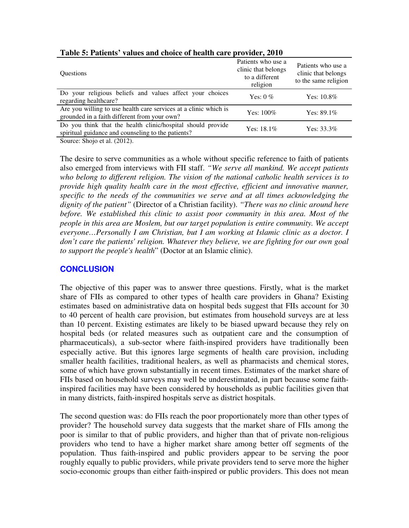| <b>Ouestions</b>                                                                                                  | Patients who use a<br>clinic that belongs<br>to a different<br>religion | Patients who use a<br>clinic that belongs<br>to the same religion |
|-------------------------------------------------------------------------------------------------------------------|-------------------------------------------------------------------------|-------------------------------------------------------------------|
| Do your religious beliefs and values affect your choices<br>regarding healthcare?                                 | Yes: $0\%$                                                              | Yes: $10.8\%$                                                     |
| Are you willing to use health care services at a clinic which is<br>grounded in a faith different from your own?  | $Yes: 100\%$                                                            | Yes: $89.1\%$                                                     |
| Do you think that the health clinic/hospital should provide<br>spiritual guidance and counseling to the patients? | Yes: $18.1\%$                                                           | Yes: $33.3\%$                                                     |

**Table 5: Patients' values and choice of health care provider, 2010** 

Source: Shojo et al. (2012).

The desire to serve communities as a whole without specific reference to faith of patients also emerged from interviews with FII staff. *"We serve all mankind. We accept patients who belong to different religion. The vision of the national catholic health services is to provide high quality health care in the most effective, efficient and innovative manner, specific to the needs of the communities we serve and at all times acknowledging the dignity of the patient"* (Director of a Christian facility). *"There was no clinic around here before. We established this clinic to assist poor community in this area. Most of the people in this area are Moslem, but our target population is entire community. We accept everyone…Personally I am Christian, but I am working at Islamic clinic as a doctor. I don't care the patients' religion. Whatever they believe, we are fighting for our own goal to support the people's health*" (Doctor at an Islamic clinic).

# **CONCLUSION**

The objective of this paper was to answer three questions. Firstly, what is the market share of FIIs as compared to other types of health care providers in Ghana? Existing estimates based on administrative data on hospital beds suggest that FIIs account for 30 to 40 percent of health care provision, but estimates from household surveys are at less than 10 percent. Existing estimates are likely to be biased upward because they rely on hospital beds (or related measures such as outpatient care and the consumption of pharmaceuticals), a sub-sector where faith-inspired providers have traditionally been especially active. But this ignores large segments of health care provision, including smaller health facilities, traditional healers, as well as pharmacists and chemical stores, some of which have grown substantially in recent times. Estimates of the market share of FIIs based on household surveys may well be underestimated, in part because some faithinspired facilities may have been considered by households as public facilities given that in many districts, faith-inspired hospitals serve as district hospitals.

The second question was: do FIIs reach the poor proportionately more than other types of provider? The household survey data suggests that the market share of FIIs among the poor is similar to that of public providers, and higher than that of private non-religious providers who tend to have a higher market share among better off segments of the population. Thus faith-inspired and public providers appear to be serving the poor roughly equally to public providers, while private providers tend to serve more the higher socio-economic groups than either faith-inspired or public providers. This does not mean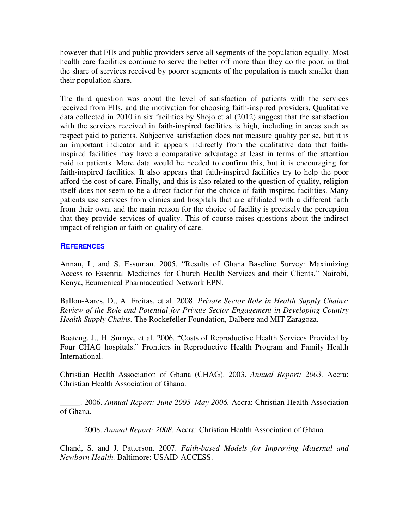however that FIIs and public providers serve all segments of the population equally. Most health care facilities continue to serve the better off more than they do the poor, in that the share of services received by poorer segments of the population is much smaller than their population share.

The third question was about the level of satisfaction of patients with the services received from FIIs, and the motivation for choosing faith-inspired providers. Qualitative data collected in 2010 in six facilities by Shojo et al (2012) suggest that the satisfaction with the services received in faith-inspired facilities is high, including in areas such as respect paid to patients. Subjective satisfaction does not measure quality per se, but it is an important indicator and it appears indirectly from the qualitative data that faithinspired facilities may have a comparative advantage at least in terms of the attention paid to patients. More data would be needed to confirm this, but it is encouraging for faith-inspired facilities. It also appears that faith-inspired facilities try to help the poor afford the cost of care. Finally, and this is also related to the question of quality, religion itself does not seem to be a direct factor for the choice of faith-inspired facilities. Many patients use services from clinics and hospitals that are affiliated with a different faith from their own, and the main reason for the choice of facility is precisely the perception that they provide services of quality. This of course raises questions about the indirect impact of religion or faith on quality of care.

# **REFERENCES**

Annan, I., and S. Essuman. 2005. "Results of Ghana Baseline Survey: Maximizing Access to Essential Medicines for Church Health Services and their Clients." Nairobi, Kenya, Ecumenical Pharmaceutical Network EPN.

Ballou-Aares, D., A. Freitas, et al. 2008. *Private Sector Role in Health Supply Chains: Review of the Role and Potential for Private Sector Engagement in Developing Country Health Supply Chains.* The Rockefeller Foundation, Dalberg and MIT Zaragoza.

Boateng, J., H. Surnye, et al. 2006. "Costs of Reproductive Health Services Provided by Four CHAG hospitals." Frontiers in Reproductive Health Program and Family Health International.

Christian Health Association of Ghana (CHAG). 2003. *Annual Report: 2003.* Accra: Christian Health Association of Ghana.

\_\_\_\_\_. 2006. *Annual Report: June 2005–May 2006.* Accra: Christian Health Association of Ghana.

\_\_\_\_\_. 2008. *Annual Report: 2008*. Accra: Christian Health Association of Ghana.

Chand, S. and J. Patterson. 2007. *Faith-based Models for Improving Maternal and Newborn Health.* Baltimore: USAID-ACCESS.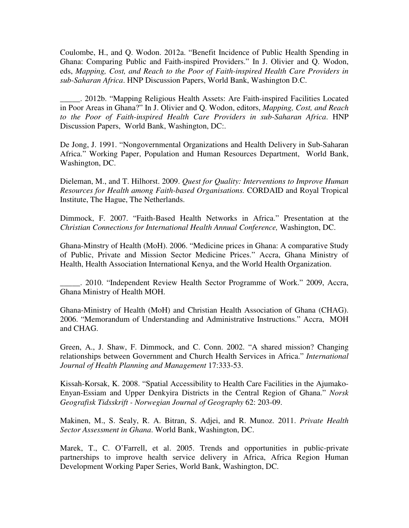Coulombe, H., and Q. Wodon. 2012a. "Benefit Incidence of Public Health Spending in Ghana: Comparing Public and Faith-inspired Providers." In J. Olivier and Q. Wodon, eds, *Mapping, Cost, and Reach to the Poor of Faith-inspired Health Care Providers in sub-Saharan Africa*. HNP Discussion Papers, World Bank, Washington D.C.

\_\_\_\_\_. 2012b. "Mapping Religious Health Assets: Are Faith-inspired Facilities Located in Poor Areas in Ghana?" In J. Olivier and Q. Wodon, editors, *Mapping, Cost, and Reach to the Poor of Faith-inspired Health Care Providers in sub-Saharan Africa*. HNP Discussion Papers, World Bank, Washington, DC:.

De Jong, J. 1991. "Nongovernmental Organizations and Health Delivery in Sub-Saharan Africa." Working Paper, Population and Human Resources Department, World Bank, Washington, DC.

Dieleman, M., and T. Hilhorst. 2009. *Quest for Quality: Interventions to Improve Human Resources for Health among Faith-based Organisations.* CORDAID and Royal Tropical Institute, The Hague, The Netherlands.

Dimmock, F. 2007. "Faith-Based Health Networks in Africa." Presentation at the *Christian Connections for International Health Annual Conference,* Washington, DC.

Ghana-Minstry of Health (MoH). 2006. "Medicine prices in Ghana: A comparative Study of Public, Private and Mission Sector Medicine Prices." Accra, Ghana Ministry of Health, Health Association International Kenya, and the World Health Organization.

\_\_\_\_\_. 2010. "Independent Review Health Sector Programme of Work." 2009, Accra, Ghana Ministry of Health MOH.

Ghana-Ministry of Health (MoH) and Christian Health Association of Ghana (CHAG). 2006. "Memorandum of Understanding and Administrative Instructions." Accra, MOH and CHAG.

Green, A., J. Shaw, F. Dimmock, and C. Conn. 2002. "A shared mission? Changing relationships between Government and Church Health Services in Africa." *International Journal of Health Planning and Management* 17:333-53.

Kissah-Korsak, K. 2008. "Spatial Accessibility to Health Care Facilities in the Ajumako-Enyan-Essiam and Upper Denkyira Districts in the Central Region of Ghana." *Norsk Geografisk Tidsskrift - Norwegian Journal of Geography* 62: 203-09.

Makinen, M., S. Sealy, R. A. Bitran, S. Adjei, and R. Munoz. 2011. *Private Health Sector Assessment in Ghana*. World Bank, Washington, DC.

Marek, T., C. O'Farrell, et al. 2005. Trends and opportunities in public-private partnerships to improve health service delivery in Africa, Africa Region Human Development Working Paper Series, World Bank, Washington, DC.